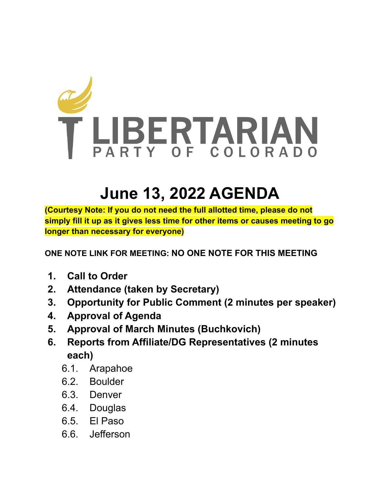

## **June 13, 2022 AGENDA**

**(Courtesy Note: If you do not need the full allotted time, please do not simply fill it up as it gives less time for other items or causes meeting to go longer than necessary for everyone)**

**ONE NOTE LINK FOR MEETING: NO ONE NOTE FOR THIS MEETING**

- **1. Call to Order**
- **2. Attendance (taken by Secretary)**
- **3. Opportunity for Public Comment (2 minutes per speaker)**
- **4. Approval of Agenda**
- **5. Approval of March Minutes (Buchkovich)**
- **6. Reports from Affiliate/DG Representatives (2 minutes each)**
	- 6.1. Arapahoe
	- 6.2. Boulder
	- 6.3. Denver
	- 6.4. Douglas
	- 6.5. El Paso
	- 6.6. Jefferson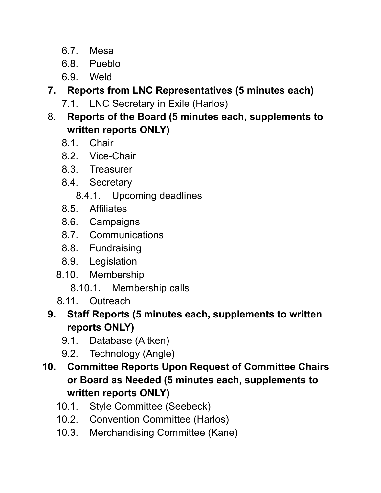- 6.7. Mesa
- 6.8. Pueblo
- 6.9. Weld

## **7. Reports from LNC Representatives (5 minutes each)**

- 7.1. LNC Secretary in Exile (Harlos)
- 8. **Reports of the Board (5 minutes each, supplements to written reports ONLY)**
	- 8.1. Chair
	- 8.2. Vice-Chair
	- 8.3. Treasurer
	- 8.4. Secretary
		- 8.4.1. Upcoming deadlines
	- 8.5. Affiliates
	- 8.6. Campaigns
	- 8.7. Communications
	- 8.8. Fundraising
	- 8.9. Legislation
	- 8.10. Membership
		- 8.10.1. Membership calls
	- 8.11. Outreach
- **9. Staff Reports (5 minutes each, supplements to written reports ONLY)**
	- 9.1. Database (Aitken)
	- 9.2. Technology (Angle)
- **10. Committee Reports Upon Request of Committee Chairs or Board as Needed (5 minutes each, supplements to written reports ONLY)**
	- 10.1. Style Committee (Seebeck)
	- 10.2. Convention Committee (Harlos)
	- 10.3. Merchandising Committee (Kane)